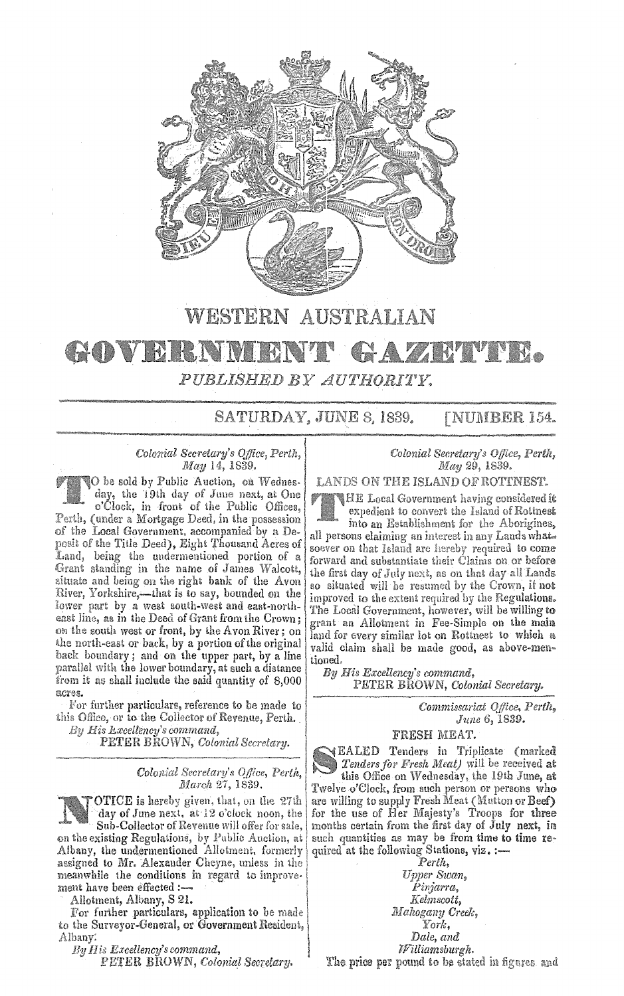

## **WESTERN AUSTRALIAN**

## GOVERNM  $P A Z A W V W$ *PUBLISHED BY AUTH0RI1'Y.*

SATURDAY, JUNE 8, 1839. [NUMBER 154.

## *Colonial &cre!ary's Office, Perth, May* 14, 1839.

**O** be sold by Public Auction, on Wednesday, the 19th day of June next, at One o'Clock, in front of the Public Offices, Perth, (under a Mortgage Deed, in the possession of the Local Government. accompanied by a Deposit of the Title Deed), Eight Thousand Acres of Land, being the undermentioned portion of a Grant standing in the name of James Walcott, 2ituate and being on the right bank of the Avon River, Yorkshire,-that is to say, bounded on the lower part by **a** west south-west and east-northeast line, as in the Deed of Grant from the Crown; on the south west or front, by the Avon River; on the north-east or back, by a portion of the original back boundary; and on the upper part, by a line parailel with the lower boundary, at such a distance from it as shall include the said quantity of  $8,000$ 

acres.<br>For further particulars, reference to be made to this Office, or to the Collector of Revenue, Perth.<br>*By His Lxcellency's command*,

. PETER BROWN, *Colonial Secrtlary.* 

on the existing Regulations, by Public Auction, at Albany, the undermentioned Allotment, formerly quired at the following Stations, assigned to Mr. Alexander Cheyne, unless in the assigned to Mr. Alexander Cheyne, unless in the <sup>\*</sup> *Perth, Perth, Perth, neanwhile* the conditions in regard to improve. *Upper Swan*, meanwhile the conditions in regard to improve-<br>ment have been effected :-:ment have been effected:- *Pw;arra,* 

Ailotment, Albany, S 21. *Relmscott*,

For further particulars, application to be made *Mahogany Creek,*  to the Surveyor-General, or Government Resident, *York,* Albany: *Dale, and By His Excellency's command, <i>Party By His Excellency's command,* 

*By II is Excellency's command, lflillzamsburgh.* 

*Colonial Secretary's Office, Perth, May* 29, 1839.

LANDS ON THE ISLAND OF ROTTNEST.

HE Local Government having considered **it**  expedient to convert the Island of Rottnest

into an Establishment for the Aborigines, all persons claiming an interest in any Lands what. soever on that Island arc hereby required to come forward and substantiate their Claims on or before the first day of July next, as on that day al! Lands so situated will be resumed by the Crown, if not improved to the extent required by the Regulations. The Local Government, however, will be willing to grant an Allotment in Fee-Simple on the main land for every similar lot on Rottnest to which a valid ciaim shall be made good, as above-men~ tioned,

*By His Excellency's command,*  PETER BROWN, *Colonial Secretary.* 

> *Commissariat OJ!ice, Perth, June 6,* 1889.

FRESH MEAT.

EALED Tenders in Triplicate **(marked**  *Tenders for Fresli Jll'at)* **wi:I** he received at *Colonial Secretary's Office, Perth,*  $\overrightarrow{O}$  this Office on Wednesday, the 19th June, at March 27, 1839. Twelve o'Clock, from such person or persons who **OTICE** is hereby given, that, on the 27th are willing to supply Fresh Meat (Mutton or Beef) day of June next, at 12 o'clock noon, the for the use of Her Majesty's Troops for three for the use of Her Majesty's Troops for three Sub-Collector of Revenue will offer for sale, months certain from the first day of July next, in xisting Regulations, by Public Auction, at such quantities as may be from time to time return the undermentioned Allotment,

PETER BROWN, *Colonial Secretary.* **The price per pound to be stated in figures** and